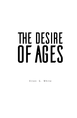# THE DESIRE OF AGES

Ellen G. White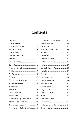### **Contents**

| "We Have Found the Messias" 69        |
|---------------------------------------|
|                                       |
|                                       |
|                                       |
|                                       |
|                                       |
| "Except Ye See Signs and Wonders" 106 |
| Bethesda and the Sanhedrin 109        |
| Imprisonment and Death of John  118   |
| "The Kingdom of God Is at Hand" 126   |

| "Is Not This the Carpenter's Son?" 129 |  |
|----------------------------------------|--|
|                                        |  |
|                                        |  |
| "Thou Canst Make Me Clean" 147         |  |
|                                        |  |
|                                        |  |
|                                        |  |
|                                        |  |
|                                        |  |
|                                        |  |
|                                        |  |
|                                        |  |
|                                        |  |
|                                        |  |
|                                        |  |
|                                        |  |
|                                        |  |
|                                        |  |
|                                        |  |
|                                        |  |
|                                        |  |
| The Foreshadowing of the Cross  246    |  |
|                                        |  |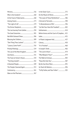| At the Feast of Tabernacles 268   |  |
|-----------------------------------|--|
|                                   |  |
|                                   |  |
|                                   |  |
| The Last Journey From Galilee 294 |  |
|                                   |  |
|                                   |  |
|                                   |  |
|                                   |  |
|                                   |  |
|                                   |  |
| The Law of the New Kingdom  328   |  |
|                                   |  |
| The Feast at Simon's House 334    |  |
|                                   |  |
|                                   |  |
| The Temple Cleansed Again  353    |  |
|                                   |  |
|                                   |  |

| 56 |                                            |  |
|----|--------------------------------------------|--|
| 60 |                                            |  |
| 68 | "The Least of These My Brethren" 386       |  |
| 73 |                                            |  |
| 79 |                                            |  |
| 89 | "Let Not Your Heart Be Troubled" 402       |  |
| 94 |                                            |  |
| 01 | Before Annas and the Court of Caiaphas 421 |  |
| 06 |                                            |  |
| 09 |                                            |  |
| 13 |                                            |  |
| 16 |                                            |  |
| 24 |                                            |  |
| 28 |                                            |  |
| 31 |                                            |  |
| 34 |                                            |  |
| 47 |                                            |  |
| 49 |                                            |  |
| 53 |                                            |  |
| 61 | "To My Father, and Your Father" 505        |  |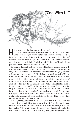

**Here** is name shall be called Immanuel, . . . God with us."<br> **Here** is seen "in the face of Jesus"<br>
Christ." From the days of eternity the Lord Jesus Christ was one with the Father;<br>
He was "the image of God" the image of "The light of the knowledge of the glory of God" is seen "in the face of Jesus He was "the image of God," the image of His greatness and majesty, "the outshining of His glory." It was to manifest this glory that He came to our world. To this sin-darkened earth He came to reveal the light of God's love,—to be "God with us." Therefore it was prophesied of Him, "His name shall be called Immanuel."

By coming to dwell with us, Jesus was to reveal God both to men and to angels. He was the Word of God,—God's thought made audible. In His prayer for His disciples He says, "I have declared unto them Thy name,"—"merciful and gracious, long-suffering, and abundant in goodness and truth,"—"that the love wherewith Thou hast loved Me may be in them, and I in them." But not alone for His earthborn children was this revelation given. Our little world is the lesson book of the universe. God's wonderful purpose of grace, the mystery of redeeming love, is the theme into which "angels desire to look," and it will be their study throughout endless ages. Both the redeemed and the unfallen beings will find in the cross of Christ their science and their song. It will be seen that the glory shining in the face of Jesus is the glory of self-sacrificing love. In the light from Calvary it will be seen that the law of self-renouncing love is the law of life for earth and heaven; that the love which "seeketh not her own" has its source in the heart of God; and that in the meek and lowly One is manifested the character of Him who dwelleth in the light which no man can approach unto.

In the beginning, God was revealed in all the works of creation. It was Christ that spread the heavens, and laid the foundations of the earth. It was His hand that hung the worlds in space, and fashioned the flowers of the field. "His strength setteth fast the mountains." "The sea is His, and He made it." Psalm 65:6; 95:5. It was He that filled the earth with beauty, and the air with song. And upon all things in earth, and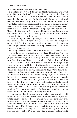#### 8 | **THE DESIRE OF AGES**

air, and sky, He wrote the message of the Father's love.

Now sin has marred God's perfect work, yet that handwriting remains. Even now all created things declare the glory of His excellence. There is nothing, save the selfish heart of man, that lives unto itself. No bird that cleaves the air, no animal that moves upon the ground, but ministers to some other life. There is no leaf of the forest, or lowly blade of grass, but has its ministry. Every tree and shrub and leaf pours forth that element of life without which neither man nor animal could live; and man and animal, in turn, minister to the life of tree and shrub and leaf. The flowers breathe fragrance and unfold their beauty in blessing to the world. The sun sheds its light to gladden a thousand worlds. The ocean, itself the source of all our springs and fountains, receives the streams from every land, but takes to give. The mists ascending from its bosom fall in showers to water the earth, that it may bring forth and bud.

The angels of glory find their joy in giving,—giving love and tireless watchcare to souls that are fallen and unholy. Heavenly beings woo the hearts of men; they bring to this dark world light from the courts above; by gentle and patient ministry they move upon the human spirit, to bring the lost into a fellowship with Christ which is even closer than they themselves can know.

But turning from all lesser representations, we behold God in Jesus. Looking unto Jesus we see that it is the glory of our God to give. "I do nothing of Myself," said Christ; "the living Father hath sent Me, and I live by the Father." "I seek not Mine own glory," but the glory of Him that sent Me. John 8:28; 6:57; 8:50; 7:18. In these words is set forth the great principle which is the law of life for the universe. All things Christ received from God, but He took to give. So in the heavenly courts, in His ministry for all created beings: through the beloved Son, the Father's life flows out to all; through the Son it returns, in praise and joyous service, a tide of love, to the great Source of all. And thus through Christ the circuit of beneficence is complete, representing the character of the great Giver, the law of life.

In heaven itself this law was broken. Sin originated in self-seeking. Lucifer, the covering cherub, desired to be first in heaven. He sought to gain control of heavenly beings, to draw them away from their Creator, and to win their homage to himself. Therefore he misrepresented God, attributing to Him the desire for self-exaltation. With his own evil characteristics he sought to invest the loving Creator. Thus he deceived angels. Thus he deceived men. He led them to doubt the word of God, and to distrust His goodness. Because God is a God of justice and terrible majesty, Satan caused them to look upon Him as severe and unforgiving. Thus he drew men to join him in rebellion against God, and the night of woe settled down upon the world.

The earth was dark through misapprehension of God. That the gloomy shadows might be lightened, that the world might be brought back to God, Satan's deceptive power was to be broken. This could not be done by force. The exercise of force is contrary to the principles of God's government; He desires only the service of love; and love cannot be commanded; it cannot be won by force or authority. Only by love is love awakened. To know God is to love Him; His character must be manifested in contrast to the character of Satan. This work only one Being in all the universe could do. Only He who knew the height and depth of the love of God could make it known. Upon the world's dark night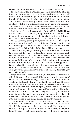the Sun of Righteousness must rise, "with healing in His wings." Malachi 4:2.

The plan for our redemption was not an afterthought, a plan formulated after the fall of Adam. It was a revelation of "the mystery which hath been kept in silence through times eternal." Romans 16:25, R.V. It was an unfolding of the principles that from eternal ages have been the foundation of God's throne. From the beginning, God and Christ knew of the apostasy of Satan, and of the fall of man through the deceptive power of the apostate. God did not ordain that sin should exist, but He foresaw its existence, and made provision to meet the terrible emergency. So great was His love for the world, that He covenanted to give His only-begotten Son, "that whosoever believeth in Him should not perish, but have everlasting life." John 3:16.

Lucifer had said, "I will exalt my throne above the stars of God; . . . I will be like the Most High." Isaiah 14:13, 14. But Christ, "being in the form of God, counted it not a thing to be grasped to be on an equality with God, but emptied Himself, taking the form of a servant, being made in the likeness of men." Philippians 2:6, 7, R.V., margin.

This was a voluntary sacrifice. Jesus might have remained at the Father's side. He might have retained the glory of heaven, and the homage of the angels. But He chose to give back the scepter into the Father's hands, and to step down from the throne of the universe, that He might bring light to the benighted, and life to the perishing.

Nearly two thousand years ago, a voice of mysterious import was heard in heaven, from the throne of God, "Lo, I come." "Sacrifice and offering Thou wouldest not, but a body hast Thou prepared Me. . . . Lo, I come (in the volume of the Book it is written of Me,) to do Thy will, O God." Hebrews 10:5-7. In these words is announced the fulfillment of the purpose that had been hidden from eternal ages. Christ was about to visit our world, and to become incarnate. He says, "A body hast Thou prepared Me." Had He appeared with the glory that was His with the Father before the world was, we could not have endured the light of His presence. That we might behold it and not be destroyed, the manifestation of His glory was shrouded. His divinity was veiled with humanity,—the invisible glory in the visible human form.

This great purpose had been shadowed forth in types and symbols. The burning bush, in which Christ appeared to Moses, revealed God. The symbol chosen for the representation of the Deity was a lowly shrub, that seemingly had no attractions. This enshrined the Infinite. The all-merciful God shrouded His glory in a most humble type, that Moses could look upon it and live. So in the pillar of cloud by day and the pillar of fire by night, God communicated with Israel, revealing to men His will, and imparting to them His grace. God's glory was subdued, and His majesty veiled, that the weak vision of finite men might behold it. So Christ was to come in "the body of our humiliation" (Philippians 3:21, R.V.), "in the likeness of men." In the eyes of the world He possessed no beauty that they should desire Him; yet He was the incarnate God, the light of heaven and earth. His glory was veiled, His greatness and majesty were hidden, that He might draw near to sorrowful, tempted men.

God commanded Moses for Israel, "Let them make Me a sanctuary; that I may dwell among them" (Exodus 25:8), and He abode in the sanctuary, in the midst of His people. Through all their weary wandering in the desert, the symbol of His presence was with them. So Christ set up His tabernacle in the midst of our human encampment. He pitched His tent by the side of the tents of men, that He might dwell among us, and make us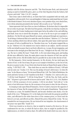familiar with His divine character and life. "The Word became flesh, and tabernacled among us (and we beheld His glory, glory as of the Only Begotten from the Father), full of grace and truth." John 1:14, R.V., margin.

Since Jesus came to dwell with us, we know that God is acquainted with our trials, and sympathizes with our griefs. Every son and daughter of Adam may understand that our Creator is the friend of sinners. For in every doctrine of grace, every promise of joy, every deed of love, every divine attraction presented in the Saviour's life on earth, we see "God with us."

Satan represents God's law of love as a law of selfishness. He declares that it is impossible for us to obey its precepts. The fall of our first parents, with all the woe that has resulted, he charges upon the Creator, leading men to look upon God as the author of sin, and suffering, and death. Jesus was to unveil this deception. As one of us He was to give an example of obedience. For this He took upon Himself our nature, and passed through our experiences. "In all things it behooved Him to be made like unto His brethren." Hebrews 2:17. If we had to bear anything which Jesus did not endure, then upon this point Satan would represent the power of God as insufficient for us. Therefore Jesus was "in all points tempted like as we are." Hebrews 4:15. He endured every trial to which we are subject. And He exercised in His own behalf no power that is not freely offered to us. As man, He met temptation, and overcame in the strength given Him from God. He says, "I delight to do Thy will, O My God: yea, Thy law is within My heart." Psalm 40:8. As He went about doing good, and healing all who were afflicted by Satan, He made plain to men the character of God's law and the nature of His service. His life testifies that it is possible for us also to obey the law of God.

By His humanity, Christ touched humanity; by His divinity, He lays hold upon the throne of God. As the Son of man, He gave us an example of obedience; as the Son of God, He gives us power to obey. It was Christ who from the bush on Mount Horeb spoke to Moses saying, "I AM THAT I AM. . . . Thus shalt thou say unto the children of Israel, I AM hath sent me unto you." Exodus 3:14. This was the pledge of Israel's deliverance. So when He came "in the likeness of men," He declared Himself the I AM. The Child of Bethlehem, the meek and lowly Saviour, is God "manifest in the flesh." 1 Timothy 3:16. And to us He says: "I AM the Good Shepherd." "I AM the living Bread." "I AM the Way, the Truth, and the Life." "All power is given unto Me in heaven and in earth." John 10:11; 6:51; 14:6; Matthew 28:18. I AM the assurance of every promise. I AM; be not afraid. "God with us" is the surety of our deliverance from sin, the assurance of our power to obey the law of heaven.

In stooping to take upon Himself humanity, Christ revealed a character the opposite of the character of Satan. But He stepped still lower in the path of humiliation. "Being found in fashion as a man, He humbled Himself, and became obedient unto death, even the death of the cross." Philippians 2:8. As the high priest laid aside his gorgeous pontifical robes, and officiated in the white linen dress of the common priest, so Christ took the form of a servant, and offered sacrifice, Himself the priest, Himself the victim. "He was wounded for our transgressions, He was bruised for our iniquities: the chastisement of our peace was upon Him." Isaiah 53:5.

Christ was treated as we deserve, that we might be treated as He deserves. He was condemned for our sins, in which He had no share, that we might be justified by His righteousness, in which we had no share. He suffered the death which was ours, that we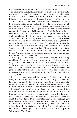might receive the life which was His. "With His stripes we are healed."

By His life and His death, Christ has achieved even more than recovery from the ruin wrought through sin. It was Satan's purpose to bring about an eternal separation between God and man; but in Christ we become more closely united to God than if we had never fallen. In taking our nature, the Saviour has bound Himself to humanity by a tie that is never to be broken. Through the eternal ages He is linked with us. "God so loved the world, that He gave His only-begotten Son." John 3:16. He gave Him not only to bear our sins, and to die as our sacrifice; He gave Him to the fallen race. To assure us of His immutable counsel of peace, God gave His only-begotten Son to become one of the human family, forever to retain His human nature. This is the pledge that God will fulfill His word. "Unto *us* a child is born, unto *us* a son is given: and the government shall be upon His shoulder." God has adopted human nature in the person of His Son, and has carried the same into the highest heaven. It is the "Son of man" who shares the throne of the universe. It is the "Son of man" whose name shall be called, "Wonderful, Counselor, The mighty God, The everlasting Father, The Prince of Peace." Isaiah 9:6. The I AM is the Daysman between God and humanity, laying His hand upon both. He who is "holy, harmless, undefiled, separate from sinners," is not ashamed to call us brethren. Hebrews 7:26; 2:11. In Christ the family of earth and the family of heaven are bound together. Christ glorified is our brother. Heaven is enshrined in humanity, and humanity is enfolded in the bosom of Infinite Love.

Of His people God says, "They shall be as the stones of a crown, lifted up as an ensign upon His land. For how great is His goodness, and how great is His beauty!" Zechariah 9:16, 17. The exaltation of the redeemed will be an eternal testimony to God's mercy. "In the ages to come," He will "show the exceeding riches of His grace in His kindness toward us through Christ Jesus." "To the intent that . . . unto the principalities and the powers in the heavenly places might be made known . . . the manifold wisdom of God, according to the eternal purpose which He purposed in Christ Jesus our Lord." Ephesians 2:7; 3:10, 11, R.V.

Through Christ's redeeming work the government of God stands justified. The Omnipotent One is made known as the God of love. Satan's charges are refuted, and his character unveiled. Rebellion can never again arise. Sin can never again enter the universe. Through eternal ages all are secure from apostasy. By love's self-sacrifice, the inhabitants of earth and heaven are bound to their Creator in bonds of indissoluble union.

The work of redemption will be complete. In the place where sin abounded, God's grace much more abounds. The earth itself, the very field that Satan claims as his, is to be not only ransomed but exalted. Our little world, under the curse of sin the one dark blot in His glorious creation, will be honored above all other worlds in the universe of God. Here, where the Son of God tabernacled in humanity; where the King of glory lived and suffered and died,—here, when He shall make all things new, the tabernacle of God shall be with men, "and He will dwell with them, and they shall be His people, and God Himself shall be with them, and be their God." And through endless ages as the redeemed walk in the light of the Lord, they will praise Him for His unspeakable Gift,—*Immanuel, "God with us."*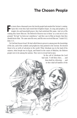## **The Chosen People**

**F** or more than a thousand years the Jewish people had awaited the Saviour's coming.<br>Upon this event they had rested their brightest hopes. In song and prophecy, in<br>temple rite and household prayer, they had enshrined His or more than a thousand years the Jewish people had awaited the Saviour's coming. Upon this event they had rested their brightest hopes. In song and prophecy, in temple rite and household prayer, they had enshrined His name. And yet at His ground;" He had "no form nor comeliness;" and they saw in Him no beauty that they should desire Him. "He came unto His own, and His own received Him not." Isaiah 53:2; John 1:11.

Yet God had chosen Israel. He had called them to preserve among men the knowledge of His law, and of the symbols and prophecies that pointed to the Saviour. He desired them to be as wells of salvation to the world. What Abraham was in the land of his sojourn, what Joseph was in Egypt, and Daniel in the courts of Babylon, the Hebrew people were to be among the nations. They were to reveal God to men.

> In the call of Abraham the Lord had said, "I will bless thee; . . . and thou shalt be a blessing: . . . and in thee shall all families of the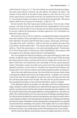earth be blessed." Genesis 12:2, 3. The same teaching was repeated through the prophets. Even after Israel had been wasted by war and captivity, the promise was theirs, "The remnant of Jacob shall be in the midst of many people as a dew from the Lord, as the showers upon the grass, that tarrieth not for man, nor waiteth for the sons of men." Micah 5:7. Concerning the temple at Jerusalem, the Lord declared through Isaiah, "Mine house shall be called an house of prayer for all peoples." Isaiah 56:7, R.V.

But the Israelites fixed their hopes upon worldly greatness. From the time of their entrance to the land of Canaan, they departed from the commandments of God, and followed the ways of the heathen. It was in vain that God sent them warning by His prophets. In vain they suffered the chastisement of heathen oppression. Every reformation was followed by deeper apostasy.

Had Israel been true to God, He could have accomplished His purpose through their honor and exaltation. If they had walked in the ways of obedience, He would have made them "high above all nations which He hath made, in praise, and in name, and in honor." "All people of the earth," said Moses, "shall see that thou art called by the name of the Lord; and they shall be afraid of thee." "The nations which shall hear all these statutes" shall say, "Surely this great nation is a wise and understanding people." Deuteronomy 26:19; 28:10; Deuteronomy 4:6. But because of their unfaithfulness, God's purpose could be wrought out only through continued adversity and humiliation.

They were brought into subjection to Babylon, and scattered through the lands of the heathen. In affliction many renewed their faithfulness to His covenant. While they hung their harps upon the willows, and mourned for the holy temple that was laid waste, the light of truth shone out through them, and a knowledge of God was spread among the nations. The heathen systems of sacrifice were a perversion of the system that God had appointed; and many a sincere observer of heathen rites learned from the Hebrews the meaning of the service divinely ordained, and in faith grasped the promise of a Redeemer.

Many of the exiles suffered persecution. Not a few lost their lives because of their refusal to disregard the Sabbath and to observe the heathen festivals. As idolaters were roused to crush out the truth, the Lord brought His servants face to face with kings and rulers, that they and their people might receive the light. Time after time the greatest monarchs were led to proclaim the supremacy of the God whom their Hebrew captives worshiped.

By the Babylonish captivity the Israelites were effectually cured of the worship of graven images. During the centuries that followed, they suffered from the oppression of heathen foes, until the conviction became fixed that their prosperity depended upon their obedience to the law of God. But with too many of the people obedience was not prompted by love. The motive was selfish. They rendered outward service to God as the means of attaining to national greatness. They did not become the light of the world, but shut themselves away from the world in order to escape temptation to idolatry. In the instruction given through Moses, God had placed restrictions upon their association with idolaters; but this teaching had been misinterpreted. It was intended to prevent them from conforming to the practices of the heathen. But it was used to build up a wall of separation between Israel and all other nations. The Jews looked upon Jerusalem as their heaven, and they were actually jealous lest the Lord should show mercy to the Gentiles.

After the return from Babylon, much attention was given to religious instruction. All over the